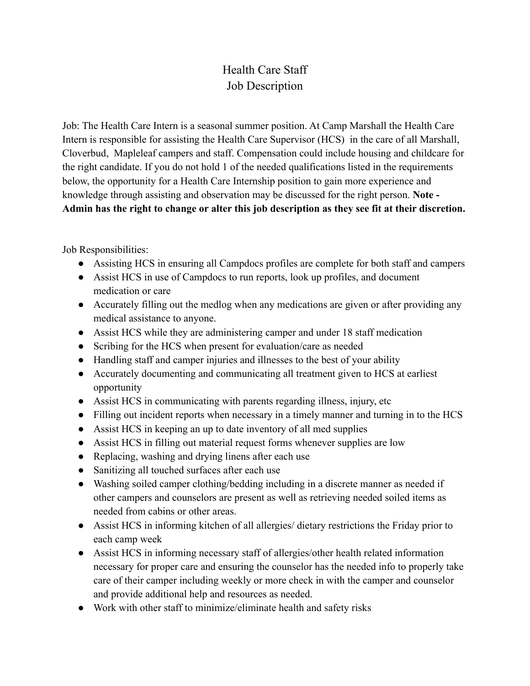## Health Care Staff Job Description

Job: The Health Care Intern is a seasonal summer position. At Camp Marshall the Health Care Intern is responsible for assisting the Health Care Supervisor (HCS) in the care of all Marshall, Cloverbud, Mapleleaf campers and staff. Compensation could include housing and childcare for the right candidate. If you do not hold 1 of the needed qualifications listed in the requirements below, the opportunity for a Health Care Internship position to gain more experience and knowledge through assisting and observation may be discussed for the right person. **Note - Admin has the right to change or alter this job description as they see fit at their discretion.**

Job Responsibilities:

- Assisting HCS in ensuring all Campdocs profiles are complete for both staff and campers
- Assist HCS in use of Campdocs to run reports, look up profiles, and document medication or care
- Accurately filling out the medlog when any medications are given or after providing any medical assistance to anyone.
- Assist HCS while they are administering camper and under 18 staff medication
- Scribing for the HCS when present for evaluation/care as needed
- Handling staff and camper injuries and illnesses to the best of your ability
- Accurately documenting and communicating all treatment given to HCS at earliest opportunity
- Assist HCS in communicating with parents regarding illness, injury, etc
- Filling out incident reports when necessary in a timely manner and turning in to the HCS
- Assist HCS in keeping an up to date inventory of all med supplies
- Assist HCS in filling out material request forms whenever supplies are low
- Replacing, washing and drying linens after each use
- Sanitizing all touched surfaces after each use
- Washing soiled camper clothing/bedding including in a discrete manner as needed if other campers and counselors are present as well as retrieving needed soiled items as needed from cabins or other areas.
- Assist HCS in informing kitchen of all allergies/ dietary restrictions the Friday prior to each camp week
- Assist HCS in informing necessary staff of allergies/other health related information necessary for proper care and ensuring the counselor has the needed info to properly take care of their camper including weekly or more check in with the camper and counselor and provide additional help and resources as needed.
- Work with other staff to minimize/eliminate health and safety risks